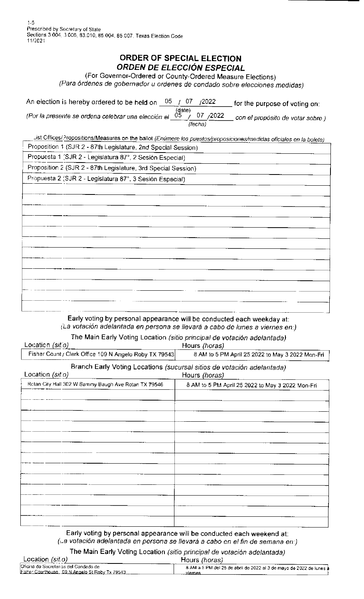1-5 Prescribed by Secretary of State Sections 3 004. 3.006, 83.010, 85 004. 85 007, Texas Election Code 11/2021

## **ORDER OF SPECIAL ELECTION ORDEN DE ELECC/ON ESPECIAL**

(For Governor-Ordered or County-Ordered Measure Elections)

(Para 6rdenes de gobernador u ordenes de condado sabre efecciones medidas)

| An election is hereby ordered to be held on                             | 05. | U7     | /2022                | for the purpose of voting on: $\overline{\phantom{a}}$ |
|-------------------------------------------------------------------------|-----|--------|----------------------|--------------------------------------------------------|
| (Por la presente se ordena celebrar una elección el $\left(05\right)$ / |     | (date) | 07 / 2022<br>(fecha) | con el propósito de votar sobre.)                      |

.. ist Offices/.?ropositions/Measures on the ballot (Enúmere los puestos/proposiciones/medidas oficiales en la boleta) Proposition 1 (SJR 2 - 87th Legislature, 2nd Special Session)

Propuesta 1 (SJR 2 - Legislatura 87°, 2 Sesión Especial)

Proposition 2 (SJR 2 - 87th Legislature, 3rd Special Session)

Propuesta 2 (SJR 2 - Legislatura 87°, 3 Sesión Especial)

| ---            |                                                                                 |                |
|----------------|---------------------------------------------------------------------------------|----------------|
|                |                                                                                 |                |
|                |                                                                                 |                |
|                |                                                                                 |                |
| ———            | <u> 1980 - Jan Sterlin Barnett, fransk politiker (d. 1980)</u>                  |                |
|                |                                                                                 |                |
|                |                                                                                 |                |
|                |                                                                                 |                |
| ----<br>------ |                                                                                 |                |
|                |                                                                                 |                |
|                |                                                                                 |                |
|                |                                                                                 |                |
|                |                                                                                 |                |
|                |                                                                                 |                |
|                |                                                                                 |                |
|                |                                                                                 |                |
|                |                                                                                 |                |
|                |                                                                                 |                |
|                |                                                                                 |                |
|                |                                                                                 |                |
|                | the contract of the contract of the contract of the contract of the contract of | $-\cdot$ . $-$ |
|                |                                                                                 |                |
|                |                                                                                 |                |
|                |                                                                                 |                |

## Early voting by personal appearance will be conducted each weekday at: (La votaci6n adelantada en persona se llevara a cabo de Junes a viernes en:)

| The Main Early Voting Location (sitio principal de votación adelantada) |                                                  |
|-------------------------------------------------------------------------|--------------------------------------------------|
| Location (sitio)                                                        | Hours (horas)                                    |
| Fisher Count / Clerk Office 109 N Angelo Roby TX 79543                  | 8 AM to 5 PM April 25 2022 to May 3 2022 Mon-Fri |
| Branch Early Voting Locations (sucursal sitios de votación adelantada)  |                                                  |

| Location (sitio)                                     | Hours (horas)                                    |
|------------------------------------------------------|--------------------------------------------------|
| Rotan City Hall 302 W Sammy Baugh Ave Rotan TX 79546 | 8 AM to 5 PM April 25 2022 to May 3 2022 Mon-Fri |
|                                                      |                                                  |
|                                                      |                                                  |
|                                                      |                                                  |
|                                                      |                                                  |
|                                                      |                                                  |
|                                                      |                                                  |
|                                                      |                                                  |
|                                                      |                                                  |
|                                                      |                                                  |
|                                                      |                                                  |
|                                                      |                                                  |
|                                                      |                                                  |
|                                                      |                                                  |
|                                                      |                                                  |

Early voting by personal appearance will be conducted each weekend at:  $($ La votación adelantada en persona se llevará a cabo en el fin de semana en:)

|                                                                                          | The Main Early Voting Location (sitio principal de votación adelantada)       |
|------------------------------------------------------------------------------------------|-------------------------------------------------------------------------------|
| Location $(sit.o)$                                                                       | Hours (horas)                                                                 |
| Oficina de Secretarios del Condado de<br>Fisher Courthouse 109 N Angelo St Roby Tx 79543 | 8 AM a 5 PM del 25 de abril de 2022 al 3 de mayo de 2022 de lunes à<br>viemes |